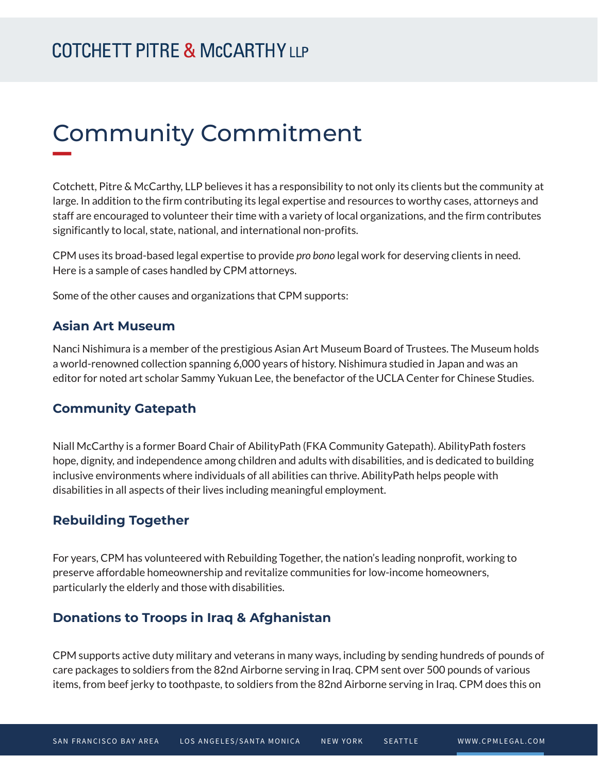# Community Commitment

Cotchett, Pitre & McCarthy, LLP believes it has a responsibility to not only its clients but the community at large. In addition to the firm contributing its legal expertise and resources to worthy cases, attorneys and staff are encouraged to volunteer their time with a variety of local organizations, and the firm contributes significantly to local, state, national, and international non-profits.

CPM uses its broad-based legal expertise to provide *pro bono* legal work for deserving clients in need. Here is a sample of cases handled by CPM attorneys.

Some of the other causes and organizations that CPM supports:

#### **Asian Art Museum**

Nanci Nishimura is a member of the prestigious Asian Art Museum Board of Trustees. The Museum holds a world-renowned collection spanning 6,000 years of history. Nishimura studied in Japan and was an editor for noted art scholar Sammy Yukuan Lee, the benefactor of the UCLA Center for Chinese Studies.

### **Community Gatepath**

Niall McCarthy is a former Board Chair of AbilityPath (FKA Community Gatepath). AbilityPath fosters hope, dignity, and independence among children and adults with disabilities, and is dedicated to building inclusive environments where individuals of all abilities can thrive. AbilityPath helps people with disabilities in all aspects of their lives including meaningful employment.

#### **Rebuilding Together**

For years, CPM has volunteered with Rebuilding Together, the nation's leading nonprofit, working to preserve affordable homeownership and revitalize communities for low-income homeowners, particularly the elderly and those with disabilities.

#### **Donations to Troops in Iraq & Afghanistan**

CPM supports active duty military and veterans in many ways, including by sending hundreds of pounds of care packages to soldiers from the 82nd Airborne serving in Iraq. CPM sent over 500 pounds of various items, from beef jerky to toothpaste, to soldiers from the 82nd Airborne serving in Iraq. CPM does this on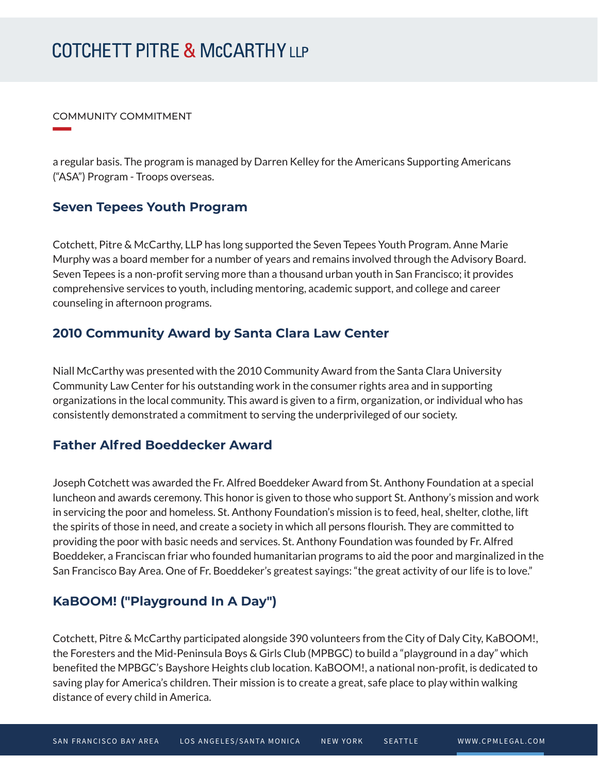# **COTCHETT PITRE & McCARTHY LLP**

COMMUNITY COMMITMENT

**William Company** 

a regular basis. The program is managed by Darren Kelley for the Americans Supporting Americans ("ASA") Program - Troops overseas.

#### **Seven Tepees Youth Program**

Cotchett, Pitre & McCarthy, LLP has long supported the Seven Tepees Youth Program. Anne Marie Murphy was a board member for a number of years and remains involved through the Advisory Board. Seven Tepees is a non-profit serving more than a thousand urban youth in San Francisco; it provides comprehensive services to youth, including mentoring, academic support, and college and career counseling in afternoon programs.

### **2010 Community Award by Santa Clara Law Center**

Niall McCarthy was presented with the 2010 Community Award from the Santa Clara University Community Law Center for his outstanding work in the consumer rights area and in supporting organizations in the local community. This award is given to a firm, organization, or individual who has consistently demonstrated a commitment to serving the underprivileged of our society.

#### **Father Alfred Boeddecker Award**

Joseph Cotchett was awarded the Fr. Alfred Boeddeker Award from St. Anthony Foundation at a special luncheon and awards ceremony. This honor is given to those who support St. Anthony's mission and work in servicing the poor and homeless. St. Anthony Foundation's mission is to feed, heal, shelter, clothe, lift the spirits of those in need, and create a society in which all persons flourish. They are committed to providing the poor with basic needs and services. St. Anthony Foundation was founded by Fr. Alfred Boeddeker, a Franciscan friar who founded humanitarian programs to aid the poor and marginalized in the San Francisco Bay Area. One of Fr. Boeddeker's greatest sayings: "the great activity of our life is to love."

## **KaBOOM! ("Playground In A Day")**

Cotchett, Pitre & McCarthy participated alongside 390 volunteers from the City of Daly City, KaBOOM!, the Foresters and the Mid-Peninsula Boys & Girls Club (MPBGC) to build a "playground in a day" which benefited the MPBGC's Bayshore Heights club location. KaBOOM!, a national non-profit, is dedicated to saving play for America's children. Their mission is to create a great, safe place to play within walking distance of every child in America.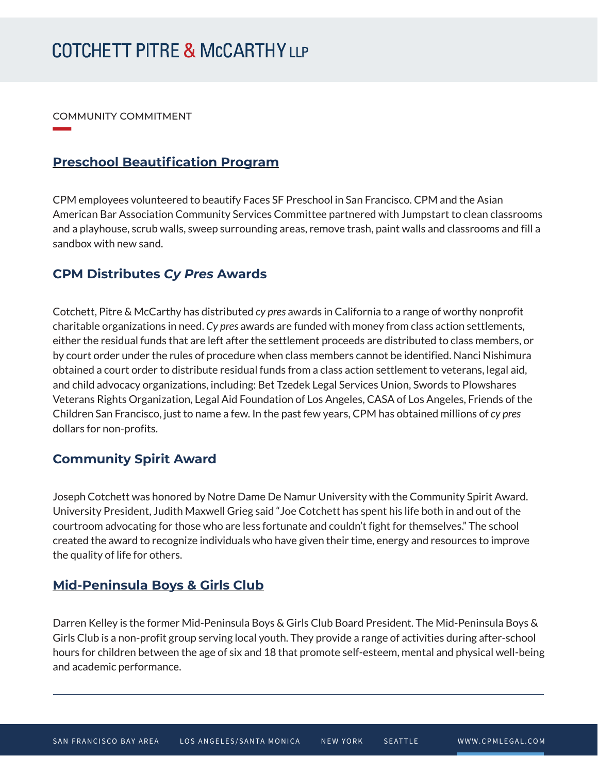# **COTCHETT PITRE & McCARTHY LLP**

COMMUNITY COMMITMENT

**William Company** 

#### **Preschool Beautification Program**

CPM employees volunteered to beautify Faces SF Preschool in San Francisco. CPM and the Asian American Bar Association Community Services Committee partnered with Jumpstart to clean classrooms and a playhouse, scrub walls, sweep surrounding areas, remove trash, paint walls and classrooms and fill a sandbox with new sand.

#### **CPM Distributes** *Cy Pres* **Awards**

Cotchett, Pitre & McCarthy has distributed *cy pres* awards in California to a range of worthy nonprofit charitable organizations in need. *Cy pres* awards are funded with money from class action settlements, either the residual funds that are left after the settlement proceeds are distributed to class members, or by court order under the rules of procedure when class members cannot be identified. Nanci Nishimura obtained a court order to distribute residual funds from a class action settlement to veterans, legal aid, and child advocacy organizations, including: Bet Tzedek Legal Services Union, Swords to Plowshares Veterans Rights Organization, Legal Aid Foundation of Los Angeles, CASA of Los Angeles, Friends of the Children San Francisco, just to name a few. In the past few years, CPM has obtained millions of *cy pres* dollars for non-profits.

#### **Community Spirit Award**

Joseph Cotchett was honored by Notre Dame De Namur University with the Community Spirit Award. University President, Judith Maxwell Grieg said "Joe Cotchett has spent his life both in and out of the courtroom advocating for those who are less fortunate and couldn't fight for themselves." The school created the award to recognize individuals who have given their time, energy and resources to improve the quality of life for others.

## **Mid-Peninsula Boys & Girls Club**

l

Darren Kelley is the former Mid-Peninsula Boys & Girls Club Board President. The Mid-Peninsula Boys & Girls Club is a non-profit group serving local youth. They provide a range of activities during after-school hours for children between the age of six and 18 that promote self-esteem, mental and physical well-being and academic performance.